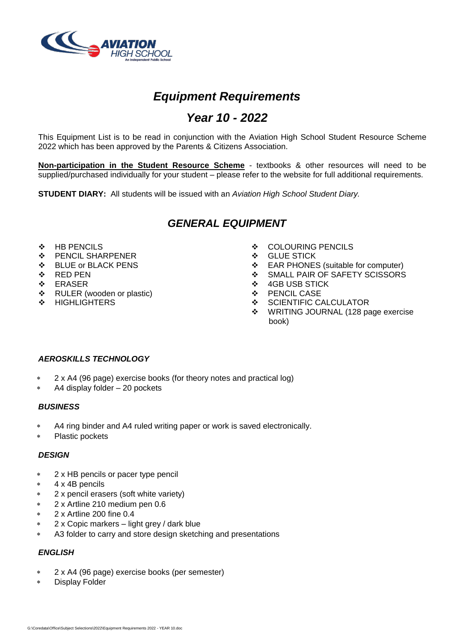

# *Equipment Requirements*

## *Year 10 - 2022*

This Equipment List is to be read in conjunction with the Aviation High School Student Resource Scheme 2022 which has been approved by the Parents & Citizens Association.

**Non-participation in the Student Resource Scheme** - textbooks & other resources will need to be supplied/purchased individually for your student – please refer to the website for full additional requirements.

**STUDENT DIARY:** All students will be issued with an *Aviation High School Student Diary.*

## *GENERAL EQUIPMENT*

#### ❖ HB PENCILS

- ❖ PENCIL SHARPENER
- ❖ BLUE or BLACK PENS
- ❖ RED PEN
- ❖ ERASER
- ❖ RULER (wooden or plastic)
- ❖ HIGHLIGHTERS
- ❖ COLOURING PENCILS
- ❖ GLUE STICK
- ❖ EAR PHONES (suitable for computer)
- ❖ SMALL PAIR OF SAFETY SCISSORS
- ❖ 4GB USB STICK
- ❖ PENCIL CASE
- ❖ SCIENTIFIC CALCULATOR
- ❖ WRITING JOURNAL (128 page exercise book)

## *AEROSKILLS TECHNOLOGY*

- 2 x A4 (96 page) exercise books (for theory notes and practical log)
- A4 display folder 20 pockets

#### *BUSINESS*

- A4 ring binder and A4 ruled writing paper or work is saved electronically.
- Plastic pockets

#### *DESIGN*

- 2 x HB pencils or pacer type pencil
- 4 x 4B pencils
- 2 x pencil erasers (soft white variety)
- 2 x Artline 210 medium pen 0.6
- 2 x Artline 200 fine 0.4
- 2 x Copic markers light grey / dark blue
- A3 folder to carry and store design sketching and presentations

## *ENGLISH*

- 2 x A4 (96 page) exercise books (per semester)
- Display Folder